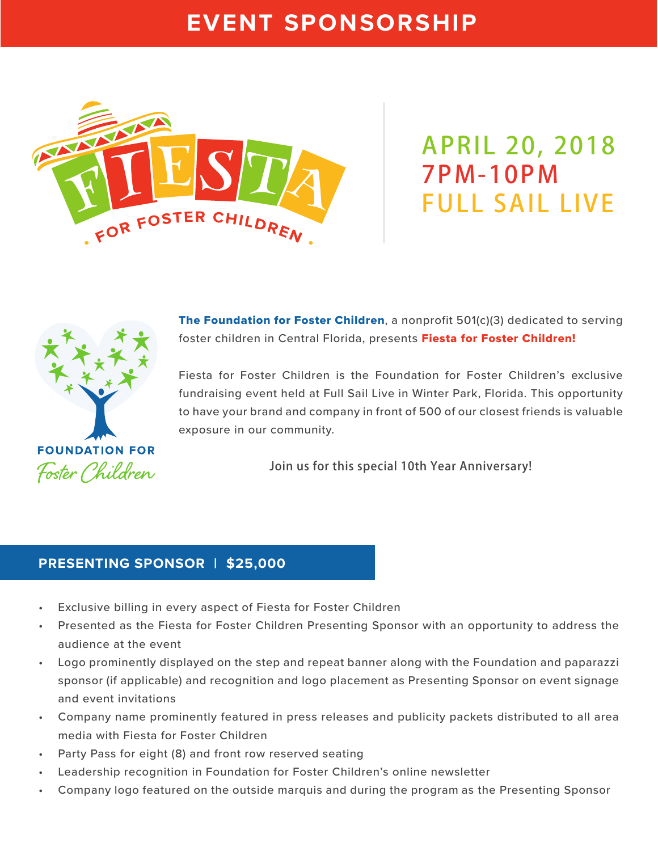# **EVENT SPONSORSHIP**



**APRIL 20, 2018 7PM-10PM FULL SAIL LIVE**



**The Foundation for Foster Children, a nonprofit 501(c)(3) dedicated to serving** foster children in Central Florida, presents Fiesta for Foster Children!

Fiesta for Foster Children is the Foundation for Foster Children's exclusive fundraising event held at Full Sail Live in Winter Park, Florida. This opportunity to have your brand and company in front of 500 of our closest friends is valuable exposure in our community.

**Join us for this special 10th Year Anniversary!**

### **PRESENTING SPONSOR | \$25,000**

- Exclusive billing in every aspect of Fiesta for Foster Children
- Presented as the Fiesta for Foster Children Presenting Sponsor with an opportunity to address the audience at the event
- Logo prominently displayed on the step and repeat banner along with the Foundation and paparazzi sponsor (if applicable) and recognition and logo placement as Presenting Sponsor on event signage and event invitations
- Company name prominently featured in press releases and publicity packets distributed to all area media with Fiesta for Foster Children
- Party Pass for eight (8) and front row reserved seating
- Leadership recognition in Foundation for Foster Children's online newsletter
- Company logo featured on the outside marquis and during the program as the Presenting Sponsor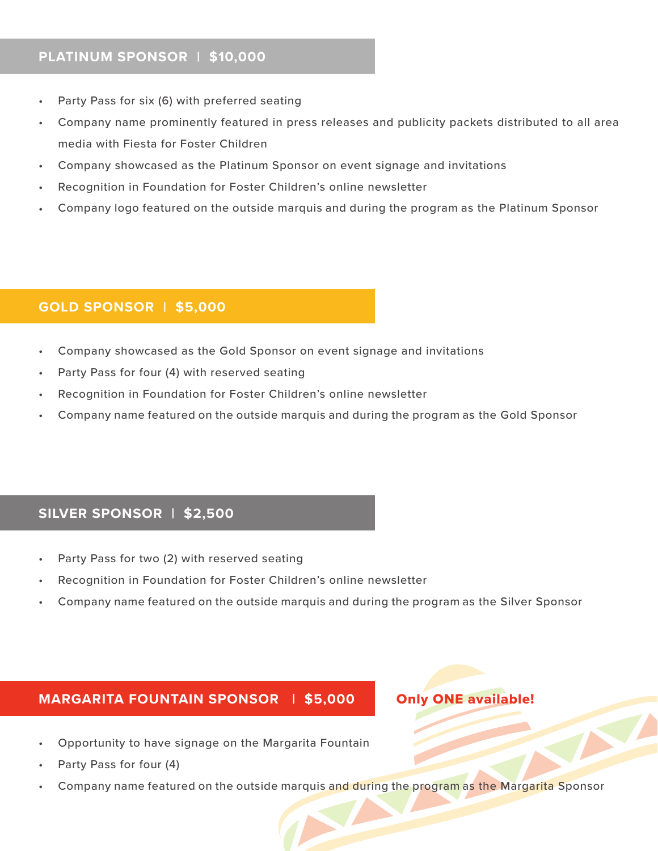#### **PLATINUM SPONSOR | \$10,000**

- Party Pass for six (6) with preferred seating
- Company name prominently featured in press releases and publicity packets distributed to all area media with Fiesta for Foster Children
- Company showcased as the Platinum Sponsor on event signage and invitations
- Recognition in Foundation for Foster Children's online newsletter
- Company logo featured on the outside marquis and during the program as the Platinum Sponsor

#### **GOLD SPONSOR | \$5,000**

- Company showcased as the Gold Sponsor on event signage and invitations
- Party Pass for four (4) with reserved seating
- Recognition in Foundation for Foster Children's online newsletter
- Company name featured on the outside marquis and during the program as the Gold Sponsor

# **SILVER SPONSOR | \$2,500**

- Party Pass for two (2) with reserved seating
- Recognition in Foundation for Foster Children's online newsletter
- Company name featured on the outside marquis and during the program as the Silver Sponsor

#### **MARGARITA FOUNTAIN SPONSOR | \$5,000**

#### Only ONE available!

- Opportunity to have signage on the Margarita Fountain
- Party Pass for four (4)
- Company name featured on the outside marquis and during the program as the Margarita Sponsor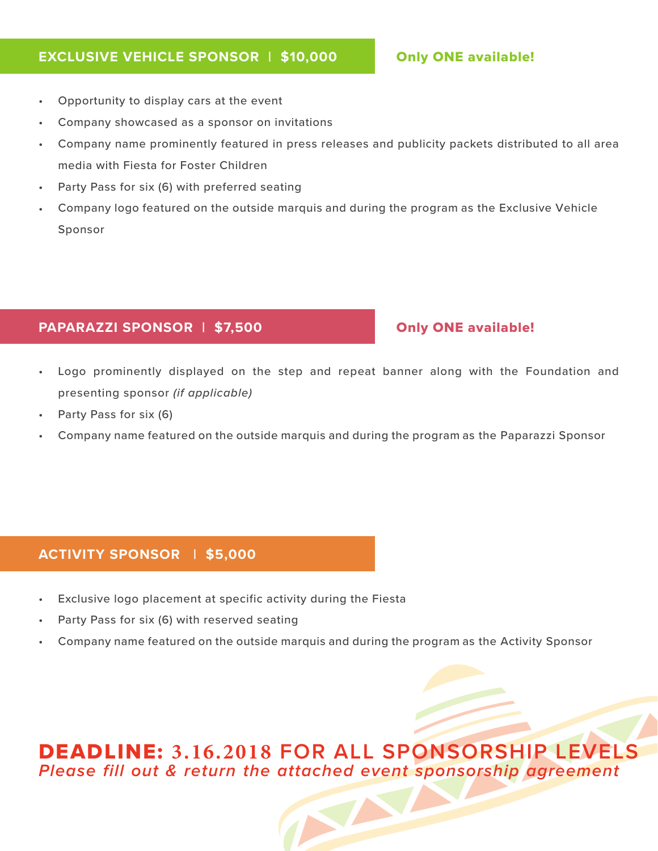#### **EXCLUSIVE VEHICLE SPONSOR | \$10,000**

#### Only ONE available!

- Opportunity to display cars at the event
- Company showcased as a sponsor on invitations
- Company name prominently featured in press releases and publicity packets distributed to all area media with Fiesta for Foster Children
- Party Pass for six (6) with preferred seating
- Company logo featured on the outside marquis and during the program as the Exclusive Vehicle Sponsor

# **PAPARAZZI SPONSOR | \$7,500**

# Only ONE available!

- Logo prominently displayed on the step and repeat banner along with the Foundation and presenting sponsor *(if applicable)*
- Party Pass for six (6)
- Company name featured on the outside marquis and during the program as the Paparazzi Sponsor

# **ACTIVITY SPONSOR | \$5,000**

- Exclusive logo placement at specific activity during the Fiesta
- Party Pass for six (6) with reserved seating
- Company name featured on the outside marquis and during the program as the Activity Sponsor

# DEADLINE: **3.16.2018 FOR ALL SPONSORSHIP LEVELS Please fill out & return the attached event sponsorship agreement**